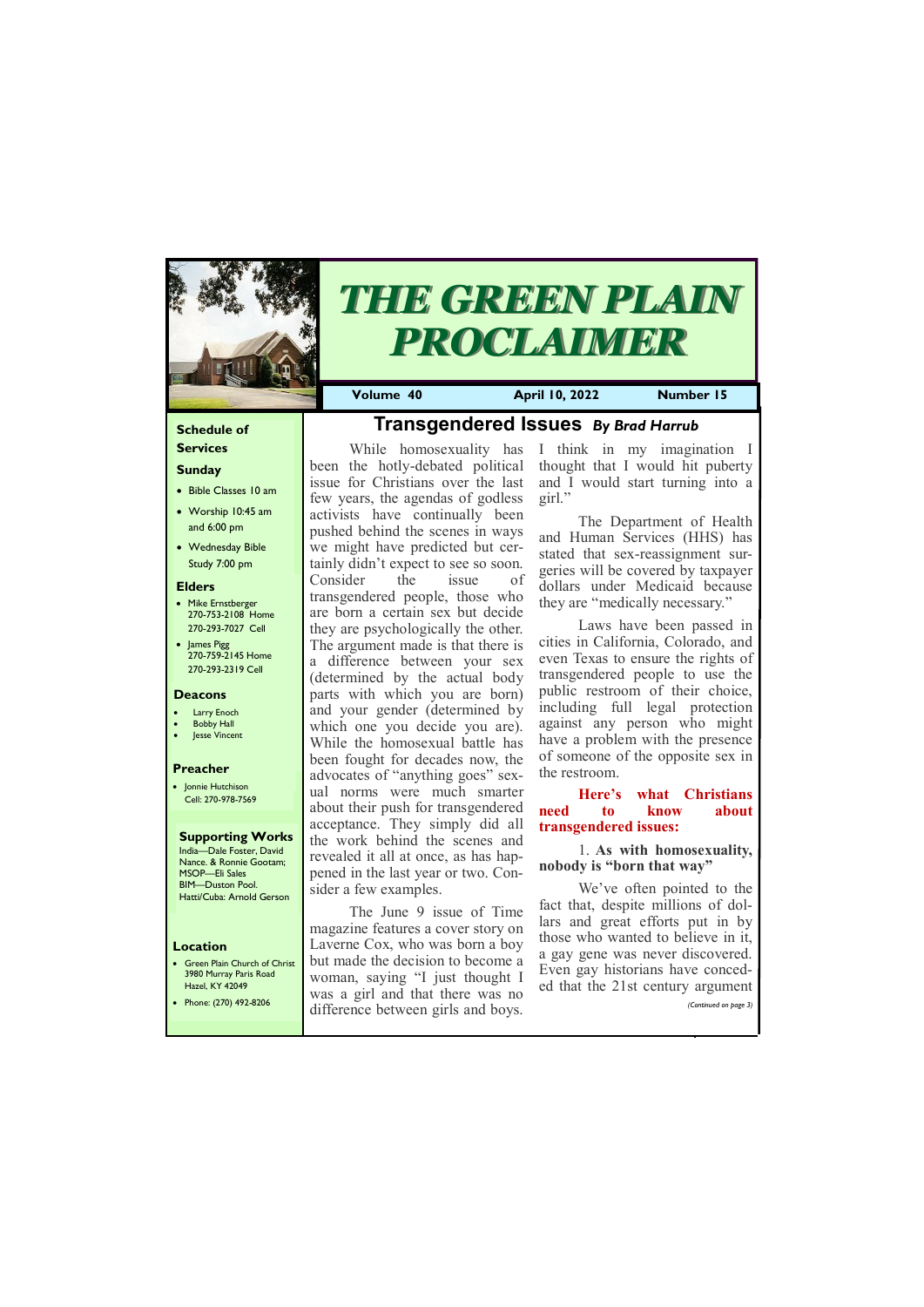#### **Schedule of Services**

#### **Sunday**

- Bible Classes 10 am
- Worship 10:45 am and 6:00 pm
- Wednesday Bible Study 7:00 pm

• Green Plain Church of Christ 3980 Murray Paris Road  $H<sub>27</sub>ol$ , KY 42

#### **Elders**

- Mike Ernstberger 270-753-2108 Home 270-293-7027 Cell
- James Pigg 270-759-2145 Home 270-293-2319 Cell

#### **Location**



# *THE GREEN PLAIN PROCLAIMER*

**Volume 40 April 10, 2022 Number 15**

#### **Deacons**

- **Larry Enoch**
- **Bobby Hall**
- **Jesse Vincent**

#### **Preacher**

• Jonnie Hutchison Cell: 270-978-7569

#### **Supporting Works** India—Dale Foster, David

Nance. & Ronnie Gootam; MSOP—Eli Sales BIM—Duston Pool. Hatti/Cuba: Arnold Gerson

# **Transgendered Issues** *By Brad Harrub*

While homosexuality has been the hotly-debated political issue for Christians over the last few years, the agendas of godless activists have continually been pushed behind the scenes in ways we might have predicted but certainly didn't expect to see so soon. Consider the issue of transgendered people, those who are born a certain sex but decide they are psychologically the other. The argument made is that there is a difference between your sex (determined by the actual body parts with which you are born) and your gender (determined by which one you decide you are). While the homosexual battle has been fought for decades now, the advocates of "anything goes" sexual norms were much smarter about their push for transgendered acceptance. They simply did all the work behind the scenes and revealed it all at once, as has happened in the last year or two. Consider a few examples.

| <b>HAZEL, NT 42047</b> | was a girl and that there was no   | $\alpha$ that the 21st century argument. |
|------------------------|------------------------------------|------------------------------------------|
| Phone: (270) 492-8206  | difference between girls and boys. | (Continued on page 3)                    |
|                        |                                    |                                          |

The June 9 issue of Time magazine features a cover story on Laverne Cox, who was born a boy but made the decision to become a woman, saying "I just thought I

I think in my imagination I thought that I would hit puberty and I would start turning into a girl."

The Department of Health and Human Services (HHS) has stated that sex-reassignment surgeries will be covered by taxpayer dollars under Medicaid because they are "medically necessary."

Laws have been passed in cities in California, Colorado, and even Texas to ensure the rights of transgendered people to use the public restroom of their choice, including full legal protection against any person who might have a problem with the presence of someone of the opposite sex in the restroom.

#### **Here's what Christians need to know about transgendered issues:**

#### 1. **As with homosexuality, nobody is "born that way"**

We've often pointed to the fact that, despite millions of dollars and great efforts put in by those who wanted to believe in it, a gay gene was never discovered. Even gay historians have conceded that the 21st century argument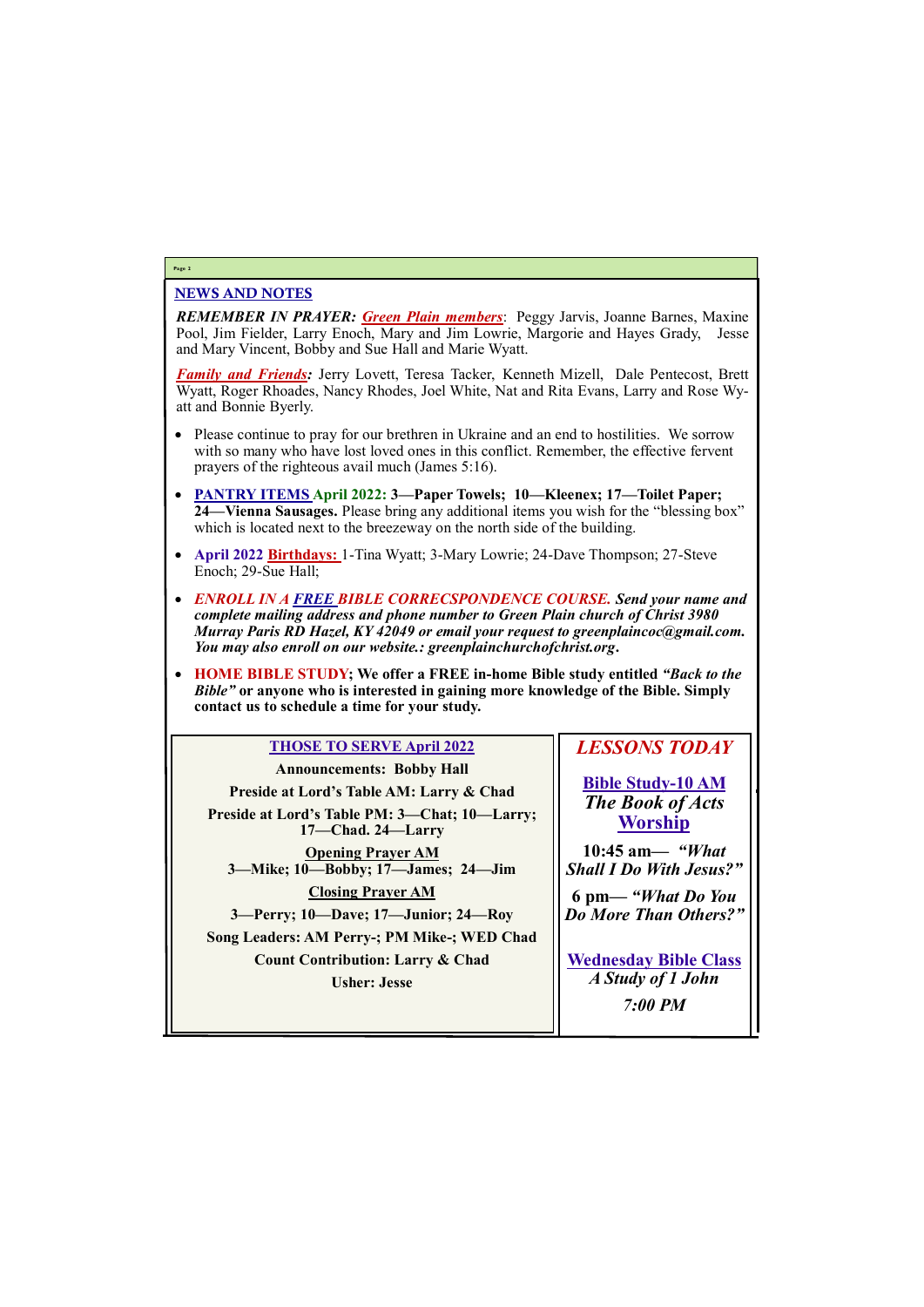#### NEWS AND NOTES

*REMEMBER IN PRAYER: Green Plain members*: Peggy Jarvis, Joanne Barnes, Maxine Pool, Jim Fielder, Larry Enoch, Mary and Jim Lowrie, Margorie and Hayes Grady, Jesse and Mary Vincent, Bobby and Sue Hall and Marie Wyatt.

*Family and Friends:* Jerry Lovett, Teresa Tacker, Kenneth Mizell, Dale Pentecost, Brett Wyatt, Roger Rhoades, Nancy Rhodes, Joel White, Nat and Rita Evans, Larry and Rose Wyatt and Bonnie Byerly.

- Please continue to pray for our brethren in Ukraine and an end to hostilities. We sorrow with so many who have lost loved ones in this conflict. Remember, the effective fervent prayers of the righteous avail much (James 5:16).
- **PANTRY ITEMS April 2022: 3—Paper Towels; 10—Kleenex; 17—Toilet Paper; 24—Vienna Sausages.** Please bring any additional items you wish for the "blessing box" which is located next to the breezeway on the north side of the building.
- **April 2022 Birthdays:** 1-Tina Wyatt; 3-Mary Lowrie; 24-Dave Thompson; 27-Steve Enoch; 29-Sue Hall;
- *ENROLL IN A FREE BIBLE CORRECSPONDENCE COURSE. Send your name and complete mailing address and phone number to Green Plain church of Christ 3980 Murray Paris RD Hazel, KY 42049 or email your request to greenplaincoc@gmail.com. You may also enroll on our website.: greenplainchurchofchrist.org***.**
- **HOME BIBLE STUDY; We offer a FREE in-home Bible study entitled** *"Back to the Bible"* **or anyone who is interested in gaining more knowledge of the Bible. Simply contact us to schedule a time for your study.**

#### **Page 2**

#### **THOSE TO SERVE April 2022**

**Announcements: Bobby Hall Preside at Lord's Table AM: Larry & Chad Preside at Lord's Table PM: 3—Chat; 10—Larry; 17—Chad. 24—Larry Opening Prayer AM 3—Mike; 10—Bobby; 17—James; 24—Jim Closing Prayer AM 3—Perry; 10—Dave; 17—Junior; 24—Roy Song Leaders: AM Perry-; PM Mike-; WED Chad Count Contribution: Larry & Chad**

### *LESSONS TODAY*

**Bible Study-10 AM** *The Book of Acts* **Worship**

**10:45 am***— "What Shall I Do With Jesus?"*

| <b>Usher: Jesse</b> | A Study of 1 John |
|---------------------|-------------------|
|                     | <b>7:00 PM</b>    |

**6 pm—** *"What Do You Do More Than Others?"*

**Wednesday Bible Class** *A Study of 1 John*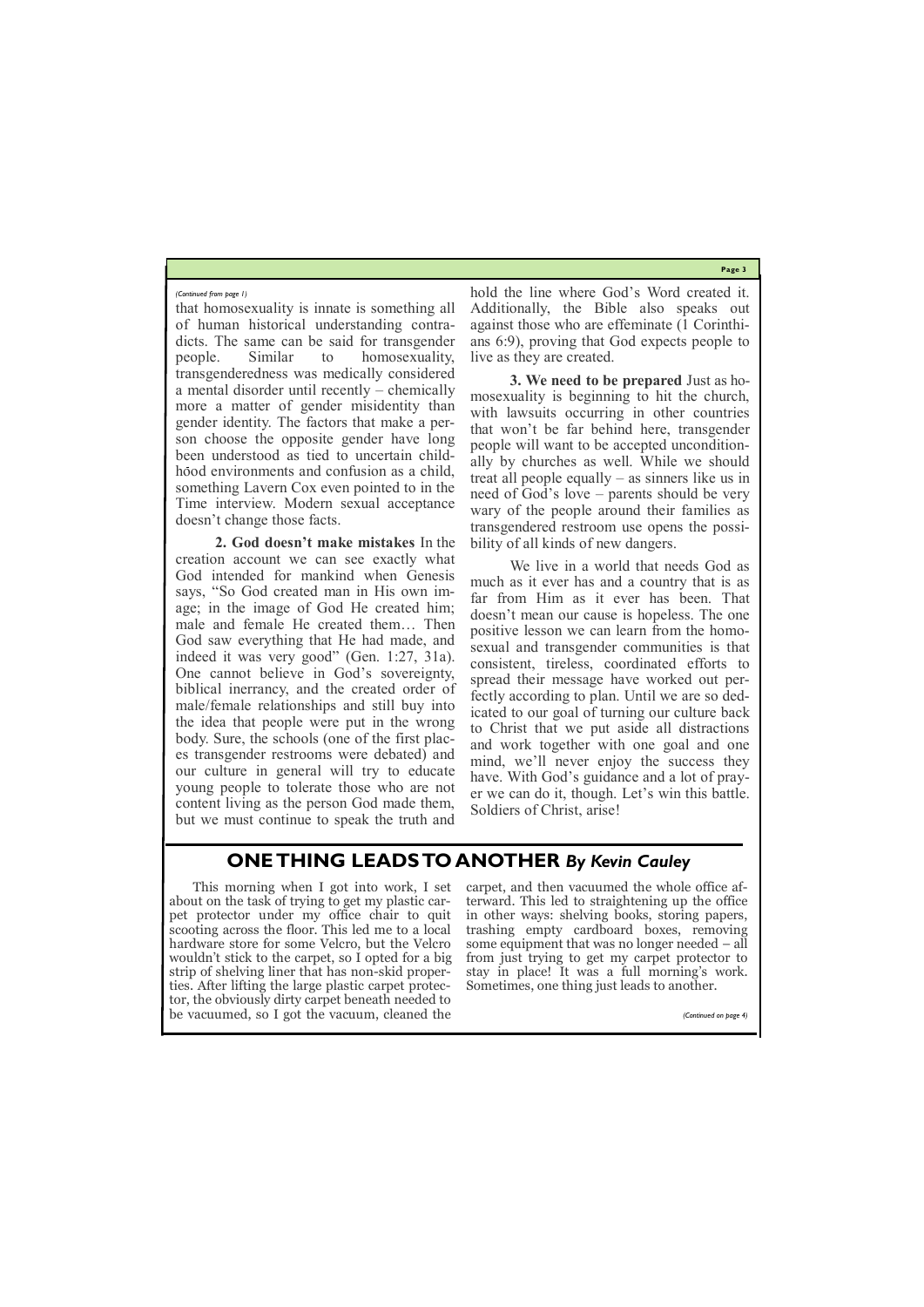**Page 3**

that homosexuality is innate is something all of human historical understanding contradicts. The same can be said for transgender people. Similar to homosexuality, transgenderedness was medically considered a mental disorder until recently – chemically more a matter of gender misidentity than gender identity. The factors that make a person choose the opposite gender have long been understood as tied to uncertain childhood environments and confusion as a child, something Lavern Cox even pointed to in the Time interview. Modern sexual acceptance doesn't change those facts.

**2. God doesn't make mistakes** In the creation account we can see exactly what God intended for mankind when Genesis says, "So God created man in His own image; in the image of God He created him; male and female He created them… Then God saw everything that He had made, and indeed it was very good" (Gen. 1:27, 31a). One cannot believe in God's sovereignty, biblical inerrancy, and the created order of male/female relationships and still buy into the idea that people were put in the wrong body. Sure, the schools (one of the first places transgender restrooms were debated) and our culture in general will try to educate young people to tolerate those who are not content living as the person God made them, but we must continue to speak the truth and

hold the line where God's Word created it. Additionally, the Bible also speaks out against those who are effeminate (1 Corinthians 6:9), proving that God expects people to live as they are created.

**3. We need to be prepared** Just as homosexuality is beginning to hit the church, with lawsuits occurring in other countries that won't be far behind here, transgender people will want to be accepted unconditionally by churches as well. While we should treat all people equally – as sinners like us in need of God's love – parents should be very wary of the people around their families as transgendered restroom use opens the possibility of all kinds of new dangers.

We live in a world that needs God as much as it ever has and a country that is as far from Him as it ever has been. That doesn't mean our cause is hopeless. The one positive lesson we can learn from the homosexual and transgender communities is that consistent, tireless, coordinated efforts to spread their message have worked out perfectly according to plan. Until we are so dedicated to our goal of turning our culture back to Christ that we put aside all distractions and work together with one goal and one mind, we'll never enjoy the success they have. With God's guidance and a lot of prayer we can do it, though. Let's win this battle. Soldiers of Christ, arise!

#### *(Continued from page 1)*

### **ONE THING LEADS TO ANOTHER** *By Kevin Cauley*

This morning when I got into work, I set about on the task of trying to get my plastic carpet protector under my office chair to quit scooting across the floor. This led me to a local hardware store for some Velcro, but the Velcro wouldn't stick to the carpet, so I opted for a big strip of shelving liner that has non-skid properties. After lifting the large plastic carpet protec-

tor, the obviously dirty carpet beneath needed to be vacuumed, so I got the vacuum, cleaned the *(Continued on page 4)*

carpet, and then vacuumed the whole office afterward. This led to straightening up the office in other ways: shelving books, storing papers, trashing empty cardboard boxes, removing some equipment that was no longer needed – all from just trying to get my carpet protector to stay in place! It was a full morning's work. Sometimes, one thing just leads to another.